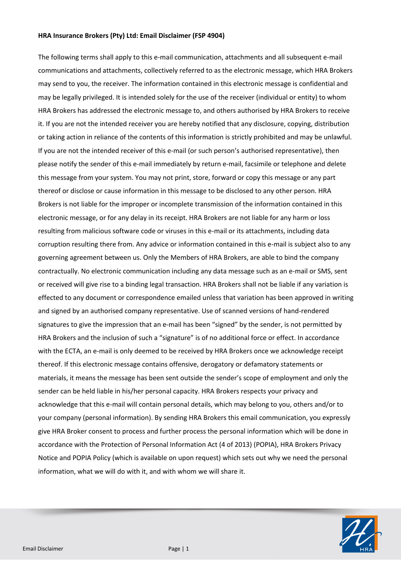## **HRA Insurance Brokers (Pty) Ltd: Email Disclaimer (FSP 4904)**

The following terms shall apply to this e-mail communication, attachments and all subsequent e-mail communications and attachments, collectively referred to as the electronic message, which HRA Brokers may send to you, the receiver. The information contained in this electronic message is confidential and may be legally privileged. It is intended solely for the use of the receiver (individual or entity) to whom HRA Brokers has addressed the electronic message to, and others authorised by HRA Brokers to receive it. If you are not the intended receiver you are hereby notified that any disclosure, copying, distribution or taking action in reliance of the contents of this information is strictly prohibited and may be unlawful. If you are not the intended receiver of this e-mail (or such person's authorised representative), then please notify the sender of this e-mail immediately by return e-mail, facsimile or telephone and delete this message from your system. You may not print, store, forward or copy this message or any part thereof or disclose or cause information in this message to be disclosed to any other person. HRA Brokers is not liable for the improper or incomplete transmission of the information contained in this electronic message, or for any delay in its receipt. HRA Brokers are not liable for any harm or loss resulting from malicious software code or viruses in this e-mail or its attachments, including data corruption resulting there from. Any advice or information contained in this e-mail is subject also to any governing agreement between us. Only the Members of HRA Brokers, are able to bind the company contractually. No electronic communication including any data message such as an e-mail or SMS, sent or received will give rise to a binding legal transaction. HRA Brokers shall not be liable if any variation is effected to any document or correspondence emailed unless that variation has been approved in writing and signed by an authorised company representative. Use of scanned versions of hand-rendered signatures to give the impression that an e-mail has been "signed" by the sender, is not permitted by HRA Brokers and the inclusion of such a "signature" is of no additional force or effect. In accordance with the ECTA, an e-mail is only deemed to be received by HRA Brokers once we acknowledge receipt thereof. If this electronic message contains offensive, derogatory or defamatory statements or materials, it means the message has been sent outside the sender's scope of employment and only the sender can be held liable in his/her personal capacity. HRA Brokers respects your privacy and acknowledge that this e-mail will contain personal details, which may belong to you, others and/or to your company (personal information). By sending HRA Brokers this email communication, you expressly give HRA Broker consent to process and further process the personal information which will be done in accordance with the Protection of Personal Information Act (4 of 2013) (POPIA), HRA Brokers Privacy Notice and POPIA Policy (which is available on upon request) which sets out why we need the personal information, what we will do with it, and with whom we will share it.